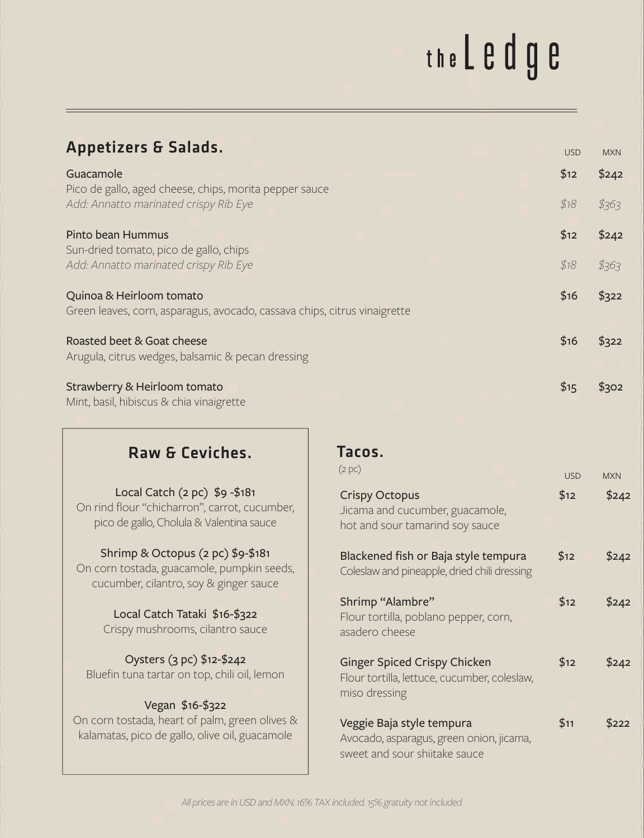## the L e d g e

| <b>Appetizers &amp; Salads.</b>                                                                                            |                                                                                             | <b>USD</b> | <b>MXN</b> |
|----------------------------------------------------------------------------------------------------------------------------|---------------------------------------------------------------------------------------------|------------|------------|
| Guacamole                                                                                                                  |                                                                                             | \$12       | \$242      |
| Pico de gallo, aged cheese, chips, morita pepper sauce<br>Add: Annatto marinated crispy Rib Eye                            |                                                                                             | \$18       | \$363      |
| Pinto bean Hummus<br>Sun-dried tomato, pico de gallo, chips                                                                |                                                                                             | \$12       | \$242      |
| Add: Annatto marinated crispy Rib Eye                                                                                      |                                                                                             |            | \$363      |
| Quinoa & Heirloom tomato<br>Green leaves, corn, asparagus, avocado, cassava chips, citrus vinaigrette                      |                                                                                             | \$16       | \$322      |
| Roasted beet & Goat cheese<br>Arugula, citrus wedges, balsamic & pecan dressing                                            |                                                                                             |            | \$322      |
| Strawberry & Heirloom tomato<br>Mint, basil, hibiscus & chia vinaigrette                                                   |                                                                                             | \$15       | \$302      |
| Raw & Ceviches.                                                                                                            | Tacos.                                                                                      |            |            |
|                                                                                                                            | (2 pc)                                                                                      | <b>USD</b> | <b>MXN</b> |
| Local Catch (2 pc) \$9 -\$181<br>On rind flour "chicharron", carrot, cucumber,<br>pico de gallo, Cholula & Valentina sauce | <b>Crispy Octopus</b><br>Jicama and cucumber, guacamole,<br>hot and sour tamarind soy sauce | \$12       | \$242      |
| Shrimp & Octopus (2 pc) \$9-\$181<br>On corn tostada, guacamole, pumpkin seeds,<br>cucumber, cilantro, soy & ginger sauce  | Blackened fish or Baja style tempura<br>Coleslaw and pineapple, dried chili dressing        | \$12       | \$242      |
| Local Catch Tataki \$16-\$322<br>Crispy mushrooms, cilantro sauce                                                          | Shrimp "Alambre"<br>Flour tortilla, poblano pepper, corn,<br>asadero cheese                 | \$12       | \$242      |

Oysters (3 pc) \$12-\$242 Bluefin tuna tartar on top, chili oil, lemon

## Vegan \$16-\$322

On corn tostada, heart of palm, green olives & kalamatas, pico de gallo, olive oil, guacamole

| (2 pc)                                                                                                 | <b>USD</b> | <b>MXN</b> |
|--------------------------------------------------------------------------------------------------------|------------|------------|
| <b>Crispy Octopus</b><br>Jicama and cucumber, guacamole,<br>hot and sour tamarind soy sauce            | \$12       | \$242      |
| Blackened fish or Baja style tempura<br>Coleslaw and pineapple, dried chili dressing                   | \$12       | \$242      |
| Shrimp "Alambre"<br>Flour tortilla, poblano pepper, corn,<br>asadero cheese                            | \$12       | \$242      |
| <b>Ginger Spiced Crispy Chicken</b><br>Flour tortilla, lettuce, cucumber, coleslaw,<br>miso dressing   | \$12       | \$242      |
| Veggie Baja style tempura<br>Avocado, asparagus, green onion, jicama,<br>sweet and sour shiitake sauce | \$11       | \$222      |